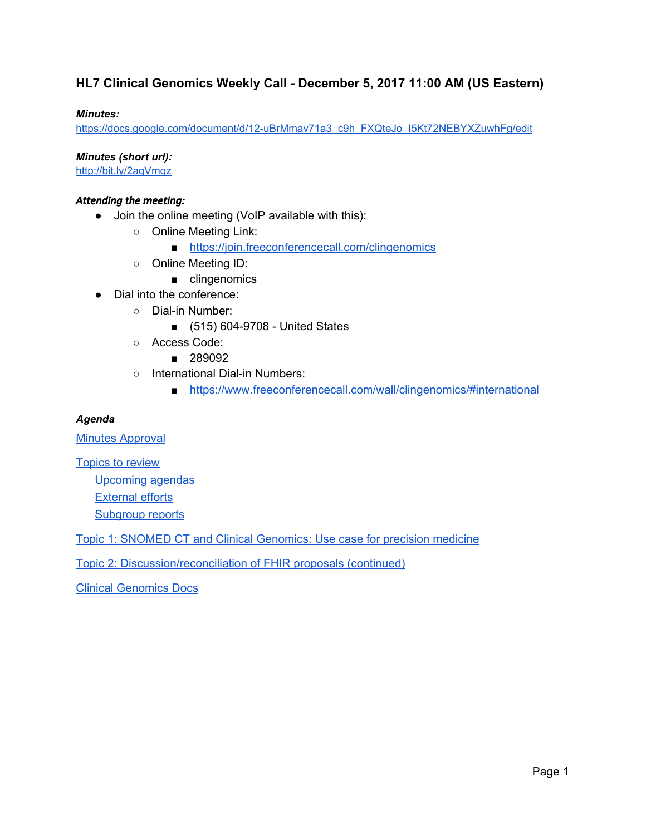### **HL7 Clinical Genomics Weekly Call - December 5, 2017 11:00 AM (US Eastern)**

### *Minutes:*

[https://docs.google.com/document/d/12-uBrMmav71a3\\_c9h\\_FXQteJo\\_I5Kt72NEBYXZuwhFg/edit](https://docs.google.com/document/d/12-uBrMmav71a3_c9h_FXQteJo_I5Kt72NEBYXZuwhFg/edit)

*Minutes (short url):*

<http://bit.ly/2aqVmqz>

### *Attending the meeting:*

- Join the online meeting (VoIP available with this):
	- Online Meeting Link:
		- <https://join.freeconferencecall.com/clingenomics>
	- Online Meeting ID:
		- clingenomics
- Dial into the conference:
	- Dial-in Number:
		- (515) 604-9708 United States
	- Access Code:
		- 289092
	- International Dial-in Numbers:
		- <https://www.freeconferencecall.com/wall/clingenomics/#international>

#### *Agenda*

**Minutes [Approval](#page-1-0)** 

[Topics](#page-1-1) to review

[Upcoming](#page-1-2) agendas

[External](#page-3-0) efforts

[Subgroup](#page-3-1) reports

Topic 1: SNOMED CT and Clinical [Genomics:](#page-4-0) Use case for precision medicine

Topic 2: Discussion/reconciliation of FHIR proposals (continued)

Clinical [Genomics](#page-7-0) Docs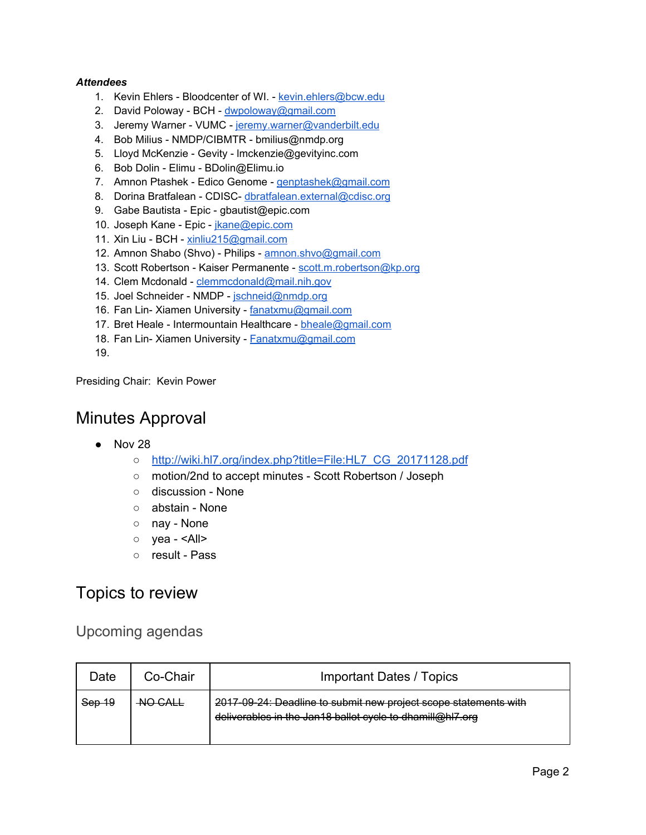### *Attendees*

- 1. Kevin Ehlers Bloodcenter of WI. [kevin.ehlers@bcw.edu](mailto:kevin.ehlers@bcw.edu)
- 2. David Poloway BCH [dwpoloway@gmail.com](mailto:dwpoloway@gmail.com)
- 3. Jeremy Warner VUMC [jeremy.warner@vanderbilt.edu](mailto:jeremy.warner@vanderbilt.edu)
- 4. Bob Milius NMDP/CIBMTR bmilius@nmdp.org
- 5. Lloyd McKenzie Gevity lmckenzie@gevityinc.com
- 6. Bob Dolin Elimu BDolin@Elimu.io
- 7. Amnon Ptashek Edico Genome [genptashek@gmail.com](mailto:genptashek@gmail.com)
- 8. Dorina Bratfalean CDISC- [dbratfalean.external@cdisc.org](mailto:dbratfalean.external@cdisc.org)
- 9. Gabe Bautista Epic gbautist@epic.com
- 10. Joseph Kane Epic [jkane@epic.com](mailto:jkane@epic.com)
- 11. Xin Liu BCH [xinliu215@gmail.com](mailto:xinliu215@gmail.com)
- 12. Amnon Shabo (Shvo) Philips [amnon.shvo@gmail.com](mailto:amnon.shvo@gmail.com)
- 13. Scott Robertson Kaiser Permanente [scott.m.robertson@kp.org](mailto:scott.m.robertson@kp.org)
- 14. Clem Mcdonald [clemmcdonald@mail.nih.gov](mailto:clemmcdonald@mail.nih.gov)
- 15. Joel Schneider NMDP [jschneid@nmdp.org](mailto:jschneid@nmdp.org)
- 16. Fan Lin- Xiamen University [fanatxmu@gmail.com](mailto:fanatxmu@gmail.com)
- 17. Bret Heale Intermountain Healthcare [bheale@gmail.com](mailto:bheale@gmail.com)
- 18. Fan Lin- Xiamen University [Fanatxmu@gmail.com](mailto:Fanatxmu@gmail.com)
- 19.

<span id="page-1-0"></span>Presiding Chair: Kevin Power

# Minutes Approval

- Nov 28
	- [http://wiki.hl7.org/index.php?title=File:HL7\\_CG\\_20171128.pdf](http://wiki.hl7.org/index.php?title=File:HL7_CG_20171128.pdf)
	- motion/2nd to accept minutes Scott Robertson / Joseph
	- discussion None
	- abstain None
	- nay None
	- yea <All>
	- result Pass

## <span id="page-1-1"></span>Topics to review

## <span id="page-1-2"></span>Upcoming agendas

| Date   | Co-Chair           | <b>Important Dates / Topics</b>                                                                                               |
|--------|--------------------|-------------------------------------------------------------------------------------------------------------------------------|
| Sep 19 | <del>NO CALL</del> | 2017 09-24: Deadline to submit new project scope statements with<br>deliverables in the Jan18 ballot cycle to dhamill@hl7.org |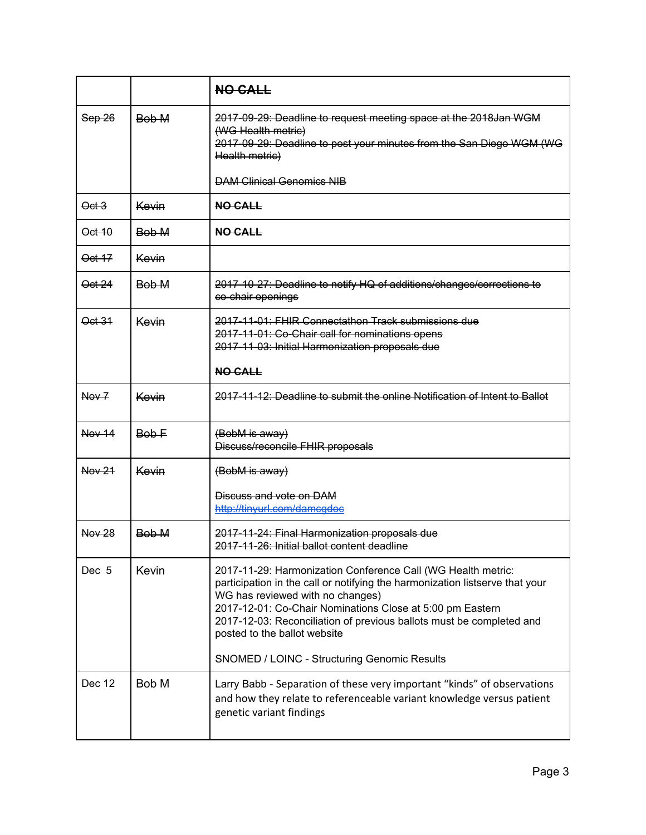|                   |       | <b>NO CALL</b>                                                                                                                                                                                                                                                                                                                                        |
|-------------------|-------|-------------------------------------------------------------------------------------------------------------------------------------------------------------------------------------------------------------------------------------------------------------------------------------------------------------------------------------------------------|
| Sep 26            | Bob M | 2017-09-29: Deadline to request meeting space at the 2018 Jan WGM<br>(WG Health metric)<br>2017-09-29: Deadline to post your minutes from the San Diego WGM (WG<br>Health metric)                                                                                                                                                                     |
|                   |       | <b>DAM Clinical Genomics NIB</b>                                                                                                                                                                                                                                                                                                                      |
| $\Theta$ ct 3     | Kevin | <b>NO CALL</b>                                                                                                                                                                                                                                                                                                                                        |
| Oct 10            | Bob M | NO CALL                                                                                                                                                                                                                                                                                                                                               |
| Oct 17            | Kevin |                                                                                                                                                                                                                                                                                                                                                       |
| <del>Oct 24</del> | Bob M | 2017-10-27: Deadline to notify HQ of additions/changes/corrections to<br>co-chair openings                                                                                                                                                                                                                                                            |
| Oct 31            | Kevin | 2017-11-01: FHIR Connectathon Track submissions due<br>2017-11-01: Co-Chair call for nominations opens<br>2017-11-03: Initial Harmonization proposals due                                                                                                                                                                                             |
|                   |       | <b>NO CALL</b>                                                                                                                                                                                                                                                                                                                                        |
| Now 7             | Kevin | 2017-11-12: Deadline to submit the online Notification of Intent to Ballot                                                                                                                                                                                                                                                                            |
| Now 14            | Bob-F | (BobM is away)<br>Discuss/reconcile FHIR proposals                                                                                                                                                                                                                                                                                                    |
| Now 21            | Kevin | (BobM is away)                                                                                                                                                                                                                                                                                                                                        |
|                   |       | Discuss and vote on DAM<br>http://tinyurl.com/damcgdoc                                                                                                                                                                                                                                                                                                |
| Now 28            | Bob M | 2017-11-24: Final Harmonization proposals due<br>2017-11-26: Initial ballot content deadline                                                                                                                                                                                                                                                          |
| Dec 5             | Kevin | 2017-11-29: Harmonization Conference Call (WG Health metric:<br>participation in the call or notifying the harmonization listserve that your<br>WG has reviewed with no changes)<br>2017-12-01: Co-Chair Nominations Close at 5:00 pm Eastern<br>2017-12-03: Reconciliation of previous ballots must be completed and<br>posted to the ballot website |
|                   |       | SNOMED / LOINC - Structuring Genomic Results                                                                                                                                                                                                                                                                                                          |
| Dec 12            | Bob M | Larry Babb - Separation of these very important "kinds" of observations<br>and how they relate to referenceable variant knowledge versus patient<br>genetic variant findings                                                                                                                                                                          |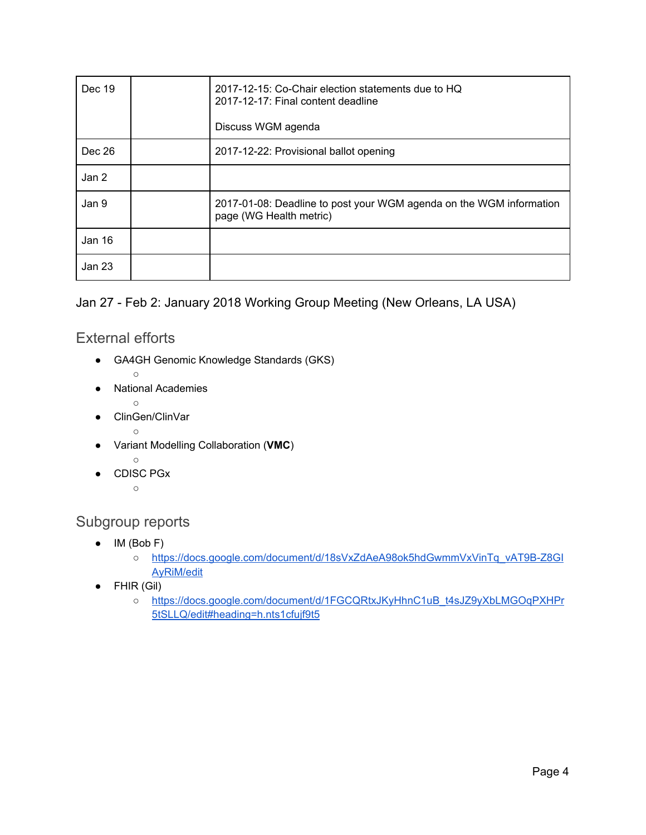| Dec 19 | 2017-12-15: Co-Chair election statements due to HQ<br>2017-12-17: Final content deadline<br>Discuss WGM agenda |
|--------|----------------------------------------------------------------------------------------------------------------|
| Dec 26 | 2017-12-22: Provisional ballot opening                                                                         |
| Jan 2  |                                                                                                                |
| Jan 9  | 2017-01-08: Deadline to post your WGM agenda on the WGM information<br>page (WG Health metric)                 |
| Jan 16 |                                                                                                                |
| Jan 23 |                                                                                                                |

### <span id="page-3-0"></span>Jan 27 - Feb 2: January 2018 Working Group Meeting (New Orleans, LA USA)

## External efforts

- GA4GH Genomic Knowledge Standards (GKS)
	- $\circ$
- National Academies
	- ○
- ClinGen/ClinVar
- ○
- Variant Modelling Collaboration (**VMC**)
	- ○
- CDISC PGx
	- $\circ$

## <span id="page-3-1"></span>Subgroup reports

- $\bullet$  IM (Bob F)
	- [https://docs.google.com/document/d/18sVxZdAeA98ok5hdGwmmVxVinTq\\_vAT9B-Z8GI](https://docs.google.com/document/d/18sVxZdAeA98ok5hdGwmmVxVinTq_vAT9B-Z8GIAyRiM/edit) [AyRiM/edit](https://docs.google.com/document/d/18sVxZdAeA98ok5hdGwmmVxVinTq_vAT9B-Z8GIAyRiM/edit)
- FHIR (Gil)
	- o [https://docs.google.com/document/d/1FGCQRtxJKyHhnC1uB\\_t4sJZ9yXbLMGOqPXHPr](https://docs.google.com/document/d/1FGCQRtxJKyHhnC1uB_t4sJZ9yXbLMGOqPXHPr5tSLLQ/edit#heading=h.nts1cfujf9t5) [5tSLLQ/edit#heading=h.nts1cfujf9t5](https://docs.google.com/document/d/1FGCQRtxJKyHhnC1uB_t4sJZ9yXbLMGOqPXHPr5tSLLQ/edit#heading=h.nts1cfujf9t5)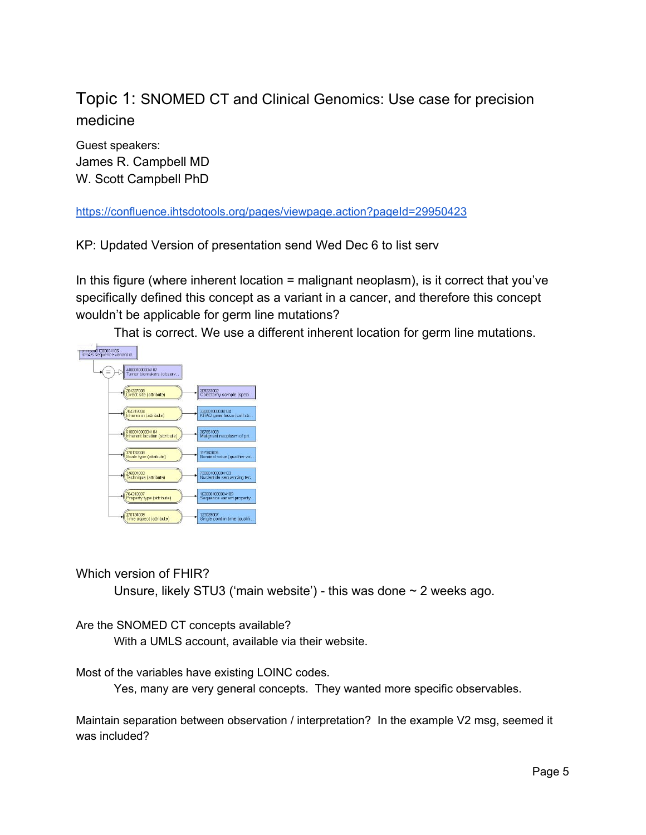# <span id="page-4-0"></span>Topic 1: SNOMED CT and Clinical Genomics: Use case for precision medicine

Guest speakers: James R. Campbell MD W. Scott Campbell PhD

<https://confluence.ihtsdotools.org/pages/viewpage.action?pageId=29950423>

KP: Updated Version of presentation send Wed Dec 6 to list serv

In this figure (where inherent location = malignant neoplasm), is it correct that you've specifically defined this concept as a variant in a cancer, and therefore this concept wouldn't be applicable for germ line mutations?

That is correct. We use a different inherent location for germ line mutations.



### Which version of FHIR?

Unsure, likely STU3 ('main website') - this was done  $\sim$  2 weeks ago.

### Are the SNOMED CT concepts available?

With a UMLS account, available via their website.

Most of the variables have existing LOINC codes.

Yes, many are very general concepts. They wanted more specific observables.

Maintain separation between observation / interpretation? In the example V2 msg, seemed it was included?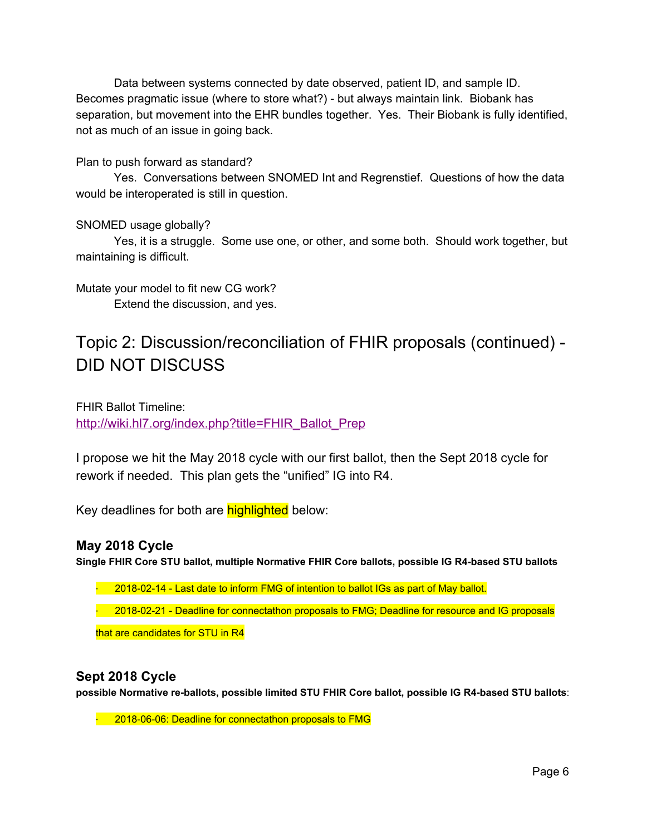Data between systems connected by date observed, patient ID, and sample ID. Becomes pragmatic issue (where to store what?) - but always maintain link. Biobank has separation, but movement into the EHR bundles together. Yes. Their Biobank is fully identified, not as much of an issue in going back.

### Plan to push forward as standard?

Yes. Conversations between SNOMED Int and Regrenstief. Questions of how the data would be interoperated is still in question.

### SNOMED usage globally?

Yes, it is a struggle. Some use one, or other, and some both. Should work together, but maintaining is difficult.

Mutate your model to fit new CG work? Extend the discussion, and yes.

# Topic 2: Discussion/reconciliation of FHIR proposals (continued) - DID NOT DISCUSS

FHIR Ballot Timeline: [http://wiki.hl7.org/index.php?title=FHIR\\_Ballot\\_Prep](https://na01.safelinks.protection.outlook.com/?url=http%3A%2F%2Fwiki.hl7.org%2Findex.php%3Ftitle%3DFHIR_Ballot_Prep&data=02%7C01%7CKevin.Power%40cerner.com%7Ca12918c616d74bea951308d52d03a89c%7Cfbc493a80d244454a815f4ca58e8c09d%7C0%7C0%7C636464416124970728&sdata=9qA1N686MkNqWiZn%2Fh8BdJKSsKI1Zj48hTjVWz8GvY8%3D&reserved=0)

I propose we hit the May 2018 cycle with our first ballot, then the Sept 2018 cycle for rework if needed. This plan gets the "unified" IG into R4.

Key deadlines for both are **highlighted** below:

### **May 2018 Cycle**

**Single FHIR Core STU ballot, multiple Normative FHIR Core ballots, possible IG R4-based STU ballots**

 $\cdot$  2018-02-14 - Last date to inform FMG of intention to ballot IGs as part of May ballot.

· 2018-02-21 - Deadline for connectathon proposals to FMG; Deadline for resource and IG proposals

that are candidates for STU in R4

### **Sept 2018 Cycle**

**possible Normative re-ballots, possible limited STU FHIR Core ballot, possible IG R4-based STU ballots**:

<sup>-</sup> 2018-06-06: Deadline for connectathon proposals to FMG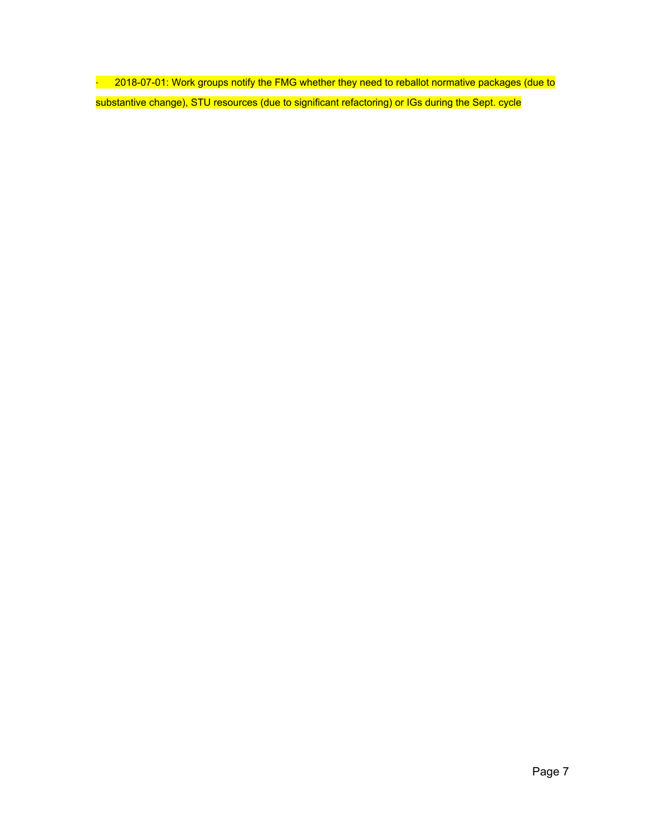· 2018-07-01: Work groups notify the FMG whether they need to reballot normative packages (due to substantive change), STU resources (due to significant refactoring) or IGs during the Sept. cycle